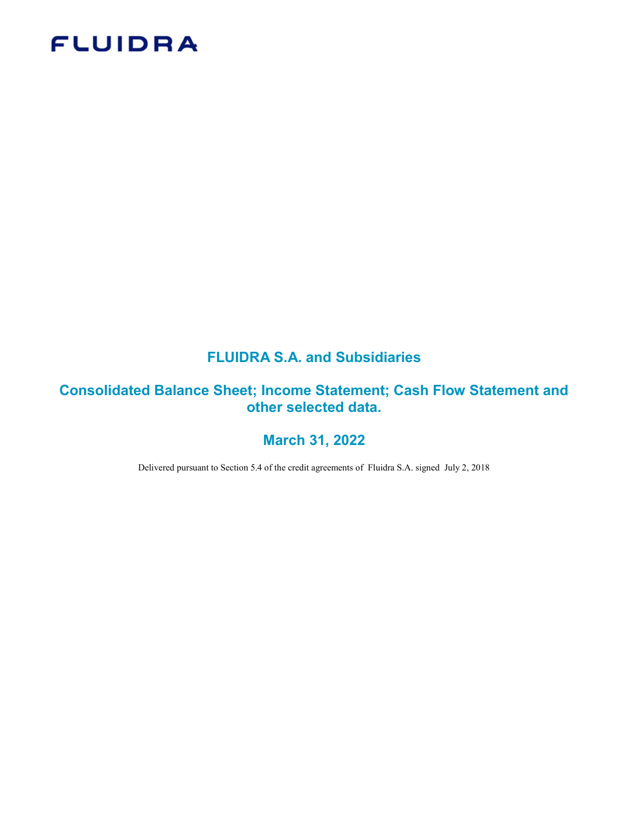# **FLUIDRA**

# FLUIDRA S.A. and Subsidiaries

# Consolidated Balance Sheet; Income Statement; Cash Flow Statement and other selected data.

# March 31, 2022

Delivered pursuant to Section 5.4 of the credit agreements of Fluidra S.A. signed July 2, 2018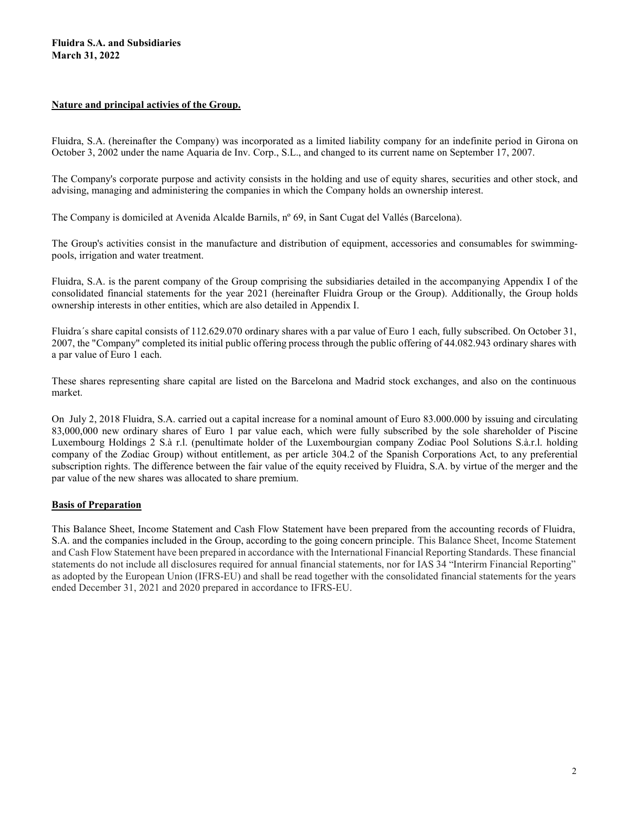#### Nature and principal activies of the Group.

Fluidra, S.A. (hereinafter the Company) was incorporated as a limited liability company for an indefinite period in Girona on October 3, 2002 under the name Aquaria de Inv. Corp., S.L., and changed to its current name on September 17, 2007.

The Company's corporate purpose and activity consists in the holding and use of equity shares, securities and other stock, and advising, managing and administering the companies in which the Company holds an ownership interest.

The Company is domiciled at Avenida Alcalde Barnils, nº 69, in Sant Cugat del Vallés (Barcelona).

The Group's activities consist in the manufacture and distribution of equipment, accessories and consumables for swimmingpools, irrigation and water treatment.

Fluidra, S.A. is the parent company of the Group comprising the subsidiaries detailed in the accompanying Appendix I of the consolidated financial statements for the year 2021 (hereinafter Fluidra Group or the Group). Additionally, the Group holds ownership interests in other entities, which are also detailed in Appendix I.

Fluidra´s share capital consists of 112.629.070 ordinary shares with a par value of Euro 1 each, fully subscribed. On October 31, 2007, the "Company" completed its initial public offering process through the public offering of 44.082.943 ordinary shares with a par value of Euro 1 each.

These shares representing share capital are listed on the Barcelona and Madrid stock exchanges, and also on the continuous market.

On July 2, 2018 Fluidra, S.A. carried out a capital increase for a nominal amount of Euro 83.000.000 by issuing and circulating 83,000,000 new ordinary shares of Euro 1 par value each, which were fully subscribed by the sole shareholder of Piscine Luxembourg Holdings 2 S.à r.l. (penultimate holder of the Luxembourgian company Zodiac Pool Solutions S.à.r.l. holding company of the Zodiac Group) without entitlement, as per article 304.2 of the Spanish Corporations Act, to any preferential subscription rights. The difference between the fair value of the equity received by Fluidra, S.A. by virtue of the merger and the par value of the new shares was allocated to share premium.

#### Basis of Preparation

This Balance Sheet, Income Statement and Cash Flow Statement have been prepared from the accounting records of Fluidra, S.A. and the companies included in the Group, according to the going concern principle. This Balance Sheet, Income Statement and Cash Flow Statement have been prepared in accordance with the International Financial Reporting Standards. These financial statements do not include all disclosures required for annual financial statements, nor for IAS 34 "Interirm Financial Reporting" as adopted by the European Union (IFRS-EU) and shall be read together with the consolidated financial statements for the years ended December 31, 2021 and 2020 prepared in accordance to IFRS-EU.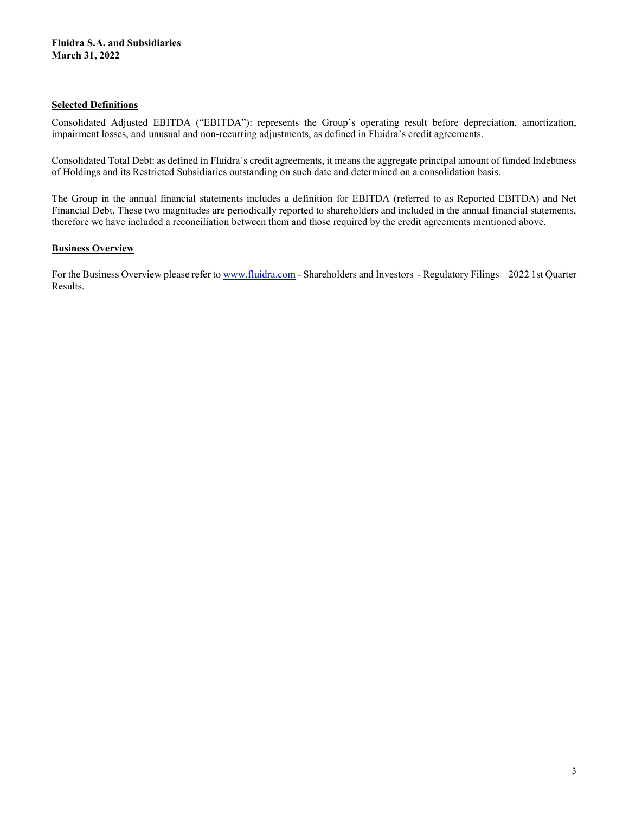#### Selected Definitions

Consolidated Adjusted EBITDA ("EBITDA"): represents the Group's operating result before depreciation, amortization, impairment losses, and unusual and non-recurring adjustments, as defined in Fluidra's credit agreements.

Consolidated Total Debt: as defined in Fluidra´s credit agreements, it means the aggregate principal amount of funded Indebtness of Holdings and its Restricted Subsidiaries outstanding on such date and determined on a consolidation basis.

The Group in the annual financial statements includes a definition for EBITDA (referred to as Reported EBITDA) and Net Financial Debt. These two magnitudes are periodically reported to shareholders and included in the annual financial statements, therefore we have included a reconciliation between them and those required by the credit agreements mentioned above.

#### **Business Overview**

For the Business Overview please refer to www.fluidra.com - Shareholders and Investors - Regulatory Filings – 2022 1st Quarter Results.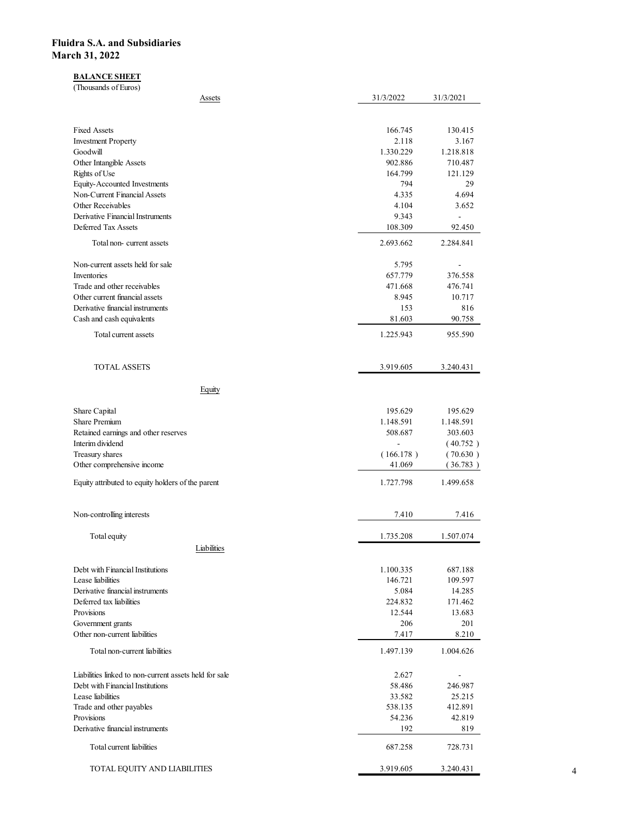# **BALANCE SHEET**

| idra S.A. and Subsidiaries                                                                 |                          |                      |
|--------------------------------------------------------------------------------------------|--------------------------|----------------------|
|                                                                                            |                          |                      |
|                                                                                            |                          |                      |
| rch 31, 2022                                                                               |                          |                      |
| <b>BALANCE SHEET</b><br>(Thousands of Euros)                                               |                          |                      |
| <b>Assets</b>                                                                              | 31/3/2022                | 31/3/2021            |
| <b>Fixed Assets</b>                                                                        | 166.745                  | 130.415              |
| <b>Investment Property</b>                                                                 | 2.118                    | 3.167                |
| Goodwill<br>Other Intangible Assets                                                        | 1.330.229<br>902.886     | 1.218.818<br>710.487 |
| Rights of Use                                                                              | 164.799                  | 121.129              |
| Equity-Accounted Investments<br>Non-Current Financial Assets                               | 794<br>4.335             | 29<br>4.694          |
| Other Receivables<br>Derivative Financial Instruments                                      | 4.104<br>9.343           | 3.652<br>$\sim$      |
| Deferred Tax Assets                                                                        | 108.309                  | 92.450               |
| Total non-current assets                                                                   | 2.693.662                | 2.284.841            |
| Non-current assets held for sale                                                           | 5.795                    | $\sim$               |
| Inventories<br>Trade and other receivables                                                 | 657.779<br>471.668       | 376.558<br>476.741   |
| Other current financial assets                                                             | 8.945                    | 10.717               |
| Derivative financial instruments<br>Cash and cash equivalents                              | 153<br>81.603            | 816<br>90.758        |
| Total current assets                                                                       | 1.225.943                | 955.590              |
|                                                                                            |                          |                      |
| <b>TOTAL ASSETS</b>                                                                        | 3.919.605                | 3.240.431            |
| Equity                                                                                     |                          |                      |
| Share Capital                                                                              | 195.629                  | 195.629              |
| Share Premium<br>Retained earnings and other reserves                                      | 1.148.591<br>508.687     | 1.148.591<br>303.603 |
| Interim dividend                                                                           | $\overline{\phantom{a}}$ | (40.752)             |
| Treasury shares<br>Other comprehensive income                                              | (166.178)<br>41.069      | (70.630)<br>(36.783) |
| Equity attributed to equity holders of the parent                                          | 1.727.798                | 1.499.658            |
|                                                                                            |                          |                      |
| Non-controlling interests                                                                  | 7.410                    | 7.416                |
| Total equity                                                                               | 1.735.208                | 1.507.074            |
| Liabilities                                                                                |                          |                      |
| Debt with Financial Institutions<br>Lease liabilities                                      | 1.100.335<br>146.721     | 687.188<br>109.597   |
| Derivative financial instruments                                                           | 5.084                    | 14.285               |
| Deferred tax liabilities<br>Provisions                                                     | 224.832<br>12.544        | 171.462<br>13.683    |
| Government grants                                                                          | 206                      | 201                  |
| Other non-current liabilities                                                              | 7.417                    | 8.210                |
| Total non-current liabilities                                                              | 1.497.139                | 1.004.626            |
| Liabilities linked to non-current assets held for sale<br>Debt with Financial Institutions | 2.627<br>58.486          | $\sim$<br>246.987    |
| Lease liabilities                                                                          | 33.582                   | 25.215               |
| Trade and other payables<br>Provisions                                                     | 538.135<br>54.236        | 412.891<br>42.819    |
| Derivative financial instruments                                                           | 192                      | 819                  |
| Total current liabilities                                                                  | 687.258                  | 728.731              |
| TOTAL EQUITY AND LIABILITIES                                                               | 3.919.605                |                      |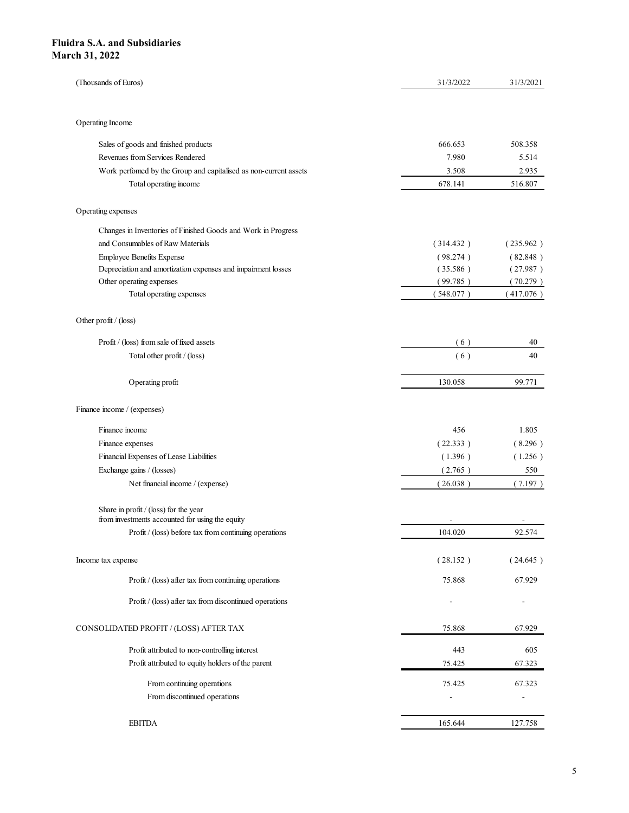| dra S.A. and Subsidiaries<br>rch 31, 2022                                                |                          |                          |
|------------------------------------------------------------------------------------------|--------------------------|--------------------------|
|                                                                                          |                          |                          |
|                                                                                          |                          |                          |
|                                                                                          |                          |                          |
|                                                                                          |                          |                          |
|                                                                                          |                          |                          |
|                                                                                          |                          |                          |
|                                                                                          |                          |                          |
|                                                                                          |                          |                          |
|                                                                                          |                          |                          |
|                                                                                          |                          |                          |
| (Thousands of Euros)                                                                     | 31/3/2022                | 31/3/2021                |
|                                                                                          |                          |                          |
|                                                                                          |                          |                          |
| Operating Income                                                                         |                          |                          |
| Sales of goods and finished products                                                     | 666.653                  | 508.358                  |
| Revenues from Services Rendered                                                          | 7.980                    | 5.514                    |
| Work perfomed by the Group and capitalised as non-current assets                         | 3.508                    | 2.935                    |
| Total operating income                                                                   | 678.141                  | 516.807                  |
| Operating expenses                                                                       |                          |                          |
|                                                                                          |                          |                          |
| Changes in Inventories of Finished Goods and Work in Progress                            |                          |                          |
| and Consumables of Raw Materials<br><b>Employee Benefits Expense</b>                     | (314.432)<br>(98.274)    | (235.962)<br>(82.848)    |
| Depreciation and amortization expenses and impairment losses                             | (35.586)                 | (27.987)                 |
| Other operating expenses                                                                 | (99.785)                 | (70.279)                 |
| Total operating expenses                                                                 | (548.077)                | (417.076)                |
|                                                                                          |                          |                          |
| Other profit / (loss)                                                                    |                          |                          |
| Profit / (loss) from sale of fixed assets                                                | (6)                      | 40                       |
| Total other profit / (loss)                                                              | (6)                      | 40                       |
| Operating profit                                                                         | 130.058                  | 99.771                   |
|                                                                                          |                          |                          |
| Finance income / (expenses)                                                              |                          |                          |
| Finance income                                                                           | 456                      | 1.805                    |
| Finance expenses                                                                         | (22.333)                 | (8.296)                  |
| Financial Expenses of Lease Liabilities                                                  | (1.396)                  | (1.256)                  |
| Exchange gains / (losses)                                                                | (2.765)                  | 550                      |
| Net financial income / (expense)                                                         | (26.038)                 | (7.197)                  |
|                                                                                          |                          |                          |
| Share in profit / (loss) for the year<br>from investments accounted for using the equity | $\sim$                   | $\sim$                   |
| Profit / (loss) before tax from continuing operations                                    | 104.020                  | 92.574                   |
|                                                                                          |                          |                          |
| Income tax expense                                                                       | (28.152)                 | (24.645)                 |
| Profit / (loss) after tax from continuing operations                                     | 75.868                   | 67.929                   |
| Profit / (loss) after tax from discontinued operations                                   | $\overline{\phantom{a}}$ | $\sim$                   |
|                                                                                          |                          |                          |
| CONSOLIDATED PROFIT / (LOSS) AFTER TAX                                                   | 75.868                   | 67.929                   |
| Profit attributed to non-controlling interest                                            | 443                      | 605                      |
| Profit attributed to equity holders of the parent                                        | 75.425                   | 67.323                   |
| From continuing operations                                                               | 75.425                   | 67.323                   |
|                                                                                          | ٠                        | $\overline{\phantom{a}}$ |
| From discontinued operations                                                             |                          |                          |
| <b>EBITDA</b>                                                                            | 165.644                  | 127.758                  |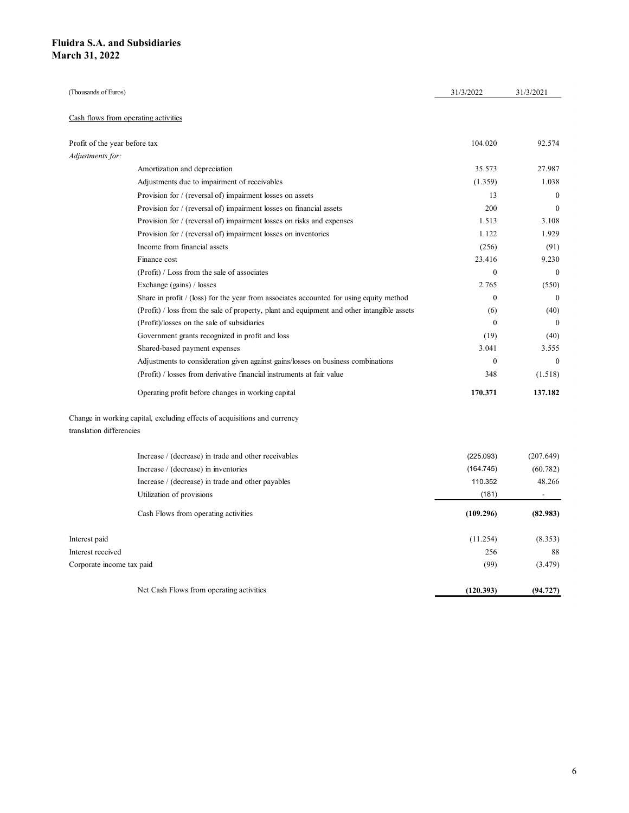| uidra S.A. and Subsidiaries   |                                                                                                                   |                   |                      |
|-------------------------------|-------------------------------------------------------------------------------------------------------------------|-------------------|----------------------|
| arch 31, 2022                 |                                                                                                                   |                   |                      |
|                               |                                                                                                                   |                   |                      |
|                               |                                                                                                                   |                   |                      |
| (Thousands of Euros)          |                                                                                                                   | 31/3/2022         | 31/3/2021            |
|                               |                                                                                                                   |                   |                      |
|                               | Cash flows from operating activities                                                                              |                   |                      |
|                               |                                                                                                                   |                   |                      |
| Profit of the year before tax |                                                                                                                   | 104.020           | 92.574               |
| Adjustments for:              | Amortization and depreciation                                                                                     | 35.573            | 27.987               |
|                               | Adjustments due to impairment of receivables                                                                      | (1.359)           | 1.038                |
|                               | Provision for / (reversal of) impairment losses on assets                                                         | 13                | $\overline{0}$       |
|                               | Provision for / (reversal of) impairment losses on financial assets                                               | 200               | $\bf{0}$             |
|                               | Provision for / (reversal of) impairment losses on risks and expenses                                             | 1.513             | 3.108                |
|                               | Provision for / (reversal of) impairment losses on inventories                                                    | 1.122             | 1.929                |
|                               | Income from financial assets                                                                                      | (256)             | (91)                 |
|                               | Finance cost                                                                                                      | 23.416            | 9.230                |
|                               | (Profit) / Loss from the sale of associates                                                                       | $\overline{0}$    | $\overline{0}$       |
|                               | Exchange (gains) / losses                                                                                         | 2.765             | (550)                |
|                               | Share in profit / (loss) for the year from associates accounted for using equity method                           | $\bf{0}$          | $\boldsymbol{0}$     |
|                               | (Profit) / loss from the sale of property, plant and equipment and other intangible assets                        | (6)               | (40)                 |
|                               | (Profit)/losses on the sale of subsidiaries                                                                       | $\mathbf{0}$      | $\overline{0}$       |
|                               | Government grants recognized in profit and loss                                                                   | (19)              | (40)                 |
|                               | Shared-based payment expenses<br>Adjustments to consideration given against gains/losses on business combinations | 3.041<br>$\bf{0}$ | 3.555<br>$\bf{0}$    |
|                               | (Profit) / losses from derivative financial instruments at fair value                                             | 348               | (1.518)              |
|                               |                                                                                                                   |                   |                      |
|                               | Operating profit before changes in working capital                                                                | 170.371           | 137.182              |
| translation differencies      | Change in working capital, excluding effects of acquisitions and currency                                         |                   |                      |
|                               |                                                                                                                   |                   |                      |
|                               | Increase / (decrease) in trade and other receivables                                                              | (225.093)         | (207.649)            |
|                               | Increase / (decrease) in inventories<br>Increase / (decrease) in trade and other payables                         | (164.745)         | (60.782)             |
|                               | Utilization of provisions                                                                                         | 110.352<br>(181)  | 48.266<br>$\sim 100$ |
|                               |                                                                                                                   |                   |                      |
|                               | Cash Flows from operating activities                                                                              | (109.296)         | (82.983)             |
| Interest paid                 |                                                                                                                   | (11.254)          | (8.353)              |
| Interest received             |                                                                                                                   | 256               | 88                   |
|                               |                                                                                                                   | (99)              | (3.479)              |
| Corporate income tax paid     |                                                                                                                   |                   |                      |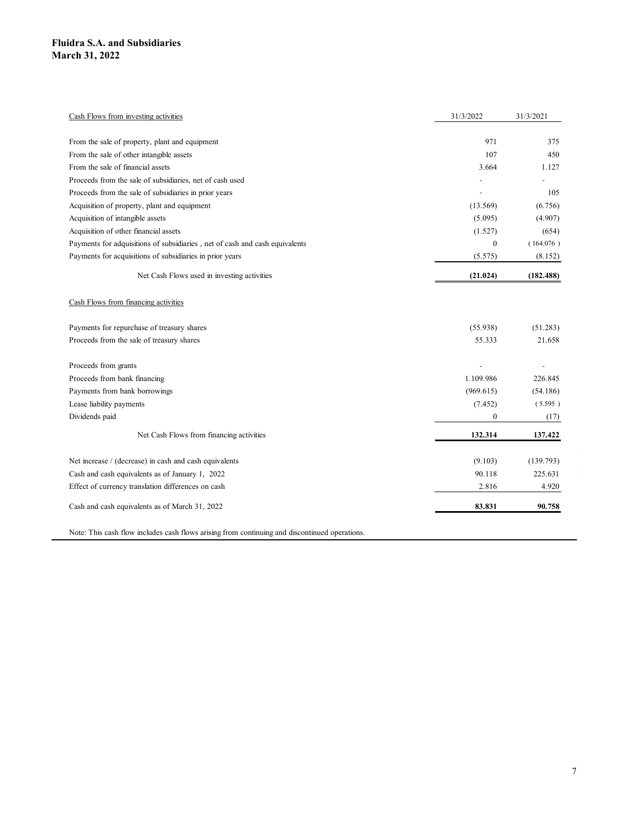| iidra S.A. and Subsidiaries                                                                           |                          |                          |
|-------------------------------------------------------------------------------------------------------|--------------------------|--------------------------|
| rch 31, 2022                                                                                          |                          |                          |
|                                                                                                       |                          |                          |
|                                                                                                       |                          |                          |
|                                                                                                       |                          |                          |
|                                                                                                       |                          |                          |
| Cash Flows from investing activities                                                                  | 31/3/2022                | 31/3/2021                |
| From the sale of property, plant and equipment                                                        | 971                      | 375                      |
| From the sale of other intangible assets                                                              | 107                      | 450                      |
| From the sale of financial assets                                                                     | 3.664                    | 1.127                    |
| Proceeds from the sale of subsidiaries, net of cash used                                              | $\overline{\phantom{a}}$ | $\overline{\phantom{a}}$ |
| Proceeds from the sale of subsidiaries in prior years                                                 | $\sim$                   | 105                      |
| Acquisition of property, plant and equipment                                                          | (13.569)                 | (6.756)                  |
| Acquisition of intangible assets                                                                      | (5.095)                  | (4.907)                  |
| Acquisition of other financial assets                                                                 | (1.527)                  | (654)                    |
| Payments for adquisitions of subsidiaries , net of cash and cash equivalents                          | $\bf{0}$                 | (164.076)                |
| Payments for acquisitions of subsidiaries in prior years                                              | (5.575)                  | (8.152)                  |
| Net Cash Flows used in investing activities                                                           | (21.024)                 | (182.488)                |
| Cash Flows from financing activities                                                                  |                          |                          |
|                                                                                                       |                          |                          |
| Payments for repurchase of treasury shares                                                            | (55.938)                 | (51.283)                 |
| Proceeds from the sale of treasury shares                                                             | 55.333                   | 21.658                   |
| Proceeds from grants                                                                                  | $\sim$                   | $\sim$                   |
| Proceeds from bank financing                                                                          | 1.109.986                | 226.845                  |
| Payments from bank borrowings                                                                         | (969.615)                | (54.186)                 |
| Lease liability payments                                                                              | (7.452)                  | (5.595)                  |
| Dividends paid                                                                                        | $\overline{0}$           | (17)                     |
| Net Cash Flows from financing activities                                                              | 132.314                  | 137.422                  |
|                                                                                                       |                          |                          |
| Net increase / (decrease) in cash and cash equivalents                                                | (9.103)                  | (139.793)                |
| Cash and cash equivalents as of January 1, 2022<br>Effect of currency translation differences on cash | 90.118                   | 225.631                  |
|                                                                                                       | 2.816                    | 4.920                    |
| Cash and cash equivalents as of March 31, 2022                                                        | 83.831                   | 90.758                   |
| Note: This cash flow includes cash flows arising from continuing and discontinued operations.         |                          |                          |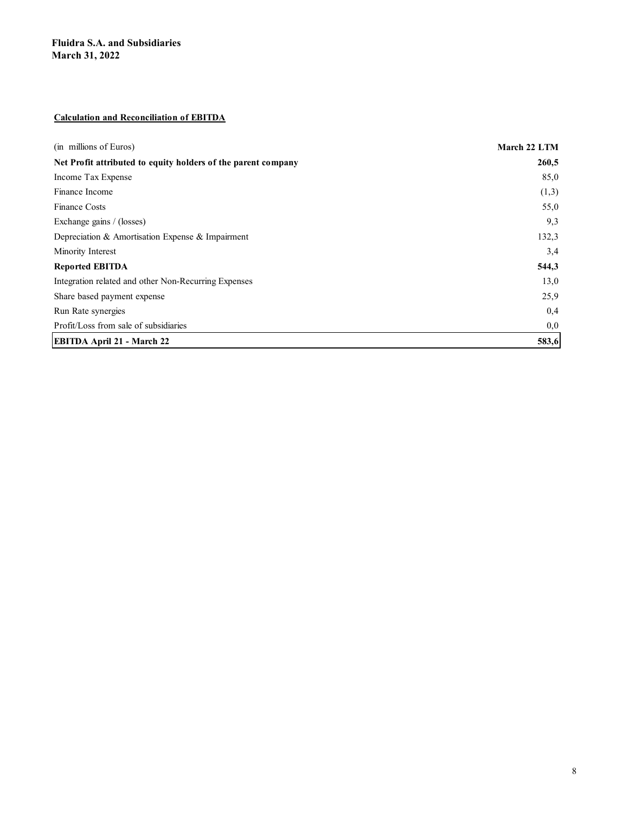#### Calculation and Reconciliation of EBITDA

| <b>Fluidra S.A. and Subsidiaries</b>                          |              |
|---------------------------------------------------------------|--------------|
| <b>March 31, 2022</b>                                         |              |
|                                                               |              |
|                                                               |              |
| <b>Calculation and Reconciliation of EBITDA</b>               |              |
|                                                               |              |
| (in millions of Euros)                                        | March 22 LTM |
| Net Profit attributed to equity holders of the parent company | 260,5        |
| Income Tax Expense                                            | 85,0         |
| Finance Income                                                | (1,3)        |
| Finance Costs                                                 | 55,0         |
| Exchange gains / (losses)                                     | 9,3          |
| Depreciation & Amortisation Expense & Impairment              | 132,3        |
| Minority Interest                                             | 3,4          |
| <b>Reported EBITDA</b>                                        | 544,3        |
| Integration related and other Non-Recurring Expenses          | 13,0         |
| Share based payment expense                                   | 25,9         |
| Run Rate synergies                                            | 0,4          |
| Profit/Loss from sale of subsidiaries                         | 0,0          |
| EBITDA April 21 - March 22                                    | 583,6        |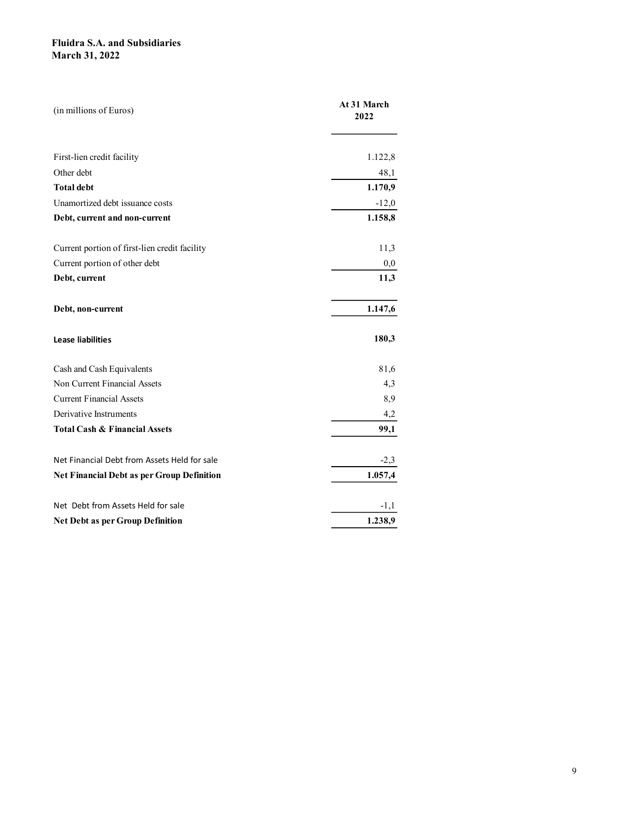| <b>Fluidra S.A. and Subsidiaries</b>          |             |
|-----------------------------------------------|-------------|
| <b>March 31, 2022</b>                         |             |
|                                               |             |
|                                               |             |
|                                               | At 31 March |
| (in millions of Euros)                        | 2022        |
|                                               |             |
|                                               |             |
| First-lien credit facility                    | 1.122,8     |
| Other debt                                    | 48,1        |
| <b>Total debt</b>                             | 1.170,9     |
| Unamortized debt issuance costs               | $-12,0$     |
| Debt, current and non-current                 | 1.158,8     |
|                                               |             |
|                                               |             |
| Current portion of first-lien credit facility | 11,3        |
| Current portion of other debt                 | $_{0,0}$    |
| Debt, current                                 | 11,3        |
|                                               |             |
| Debt, non-current                             | 1.147,6     |
|                                               |             |
| <b>Lease liabilities</b>                      | 180,3       |
|                                               |             |
| Cash and Cash Equivalents                     | 81,6        |
| Non Current Financial Assets                  | 4,3         |
| <b>Current Financial Assets</b>               | 8,9         |
| Derivative Instruments                        | 4,2         |
| <b>Total Cash &amp; Financial Assets</b>      | 99,1        |
|                                               |             |
| Net Financial Debt from Assets Held for sale  | $-2,3$      |
| Net Financial Debt as per Group Definition    | 1.057,4     |
|                                               |             |
| Net Debt from Assets Held for sale            | $-1,1$      |
| <b>Net Debt as per Group Definition</b>       | 1.238,9     |
|                                               |             |